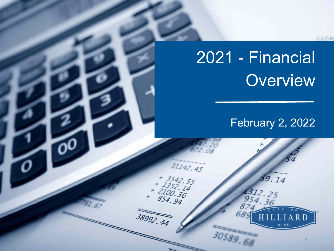# 2021 - Financial **Overview**

 $31142.45$ 

2221

+ 3542.55<br>+ 1352.14<br>2100.36<br>854.94

 $38992.44$ 

# February 2, 2022

59.14

1312. 954

30589.68

1

RD

13.754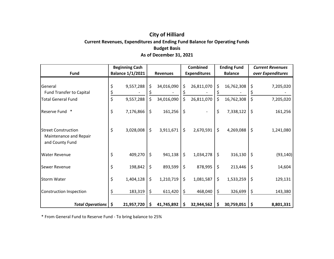### **City of Hilliard Current Revenues, Expenditures and Ending Fund Balance for Operating Funds Budget Basis As of December 31, 2021**

|                                                                         | <b>Beginning Cash</b>   |            |         |                 | <b>Combined</b> |                     |         | <b>Ending Fund</b> |    | <b>Current Revenues</b> |  |
|-------------------------------------------------------------------------|-------------------------|------------|---------|-----------------|-----------------|---------------------|---------|--------------------|----|-------------------------|--|
| <b>Fund</b>                                                             | <b>Balance 1/1/2021</b> |            |         | <b>Revenues</b> |                 | <b>Expenditures</b> |         | <b>Balance</b>     |    | over Expenditures       |  |
| General<br><b>Fund Transfer to Capital</b>                              |                         | 9,557,288  | \$      | 34,016,090      | \$              | 26,811,070          | \$      | 16,762,308         | \$ | 7,205,020               |  |
| <b>Total General Fund</b>                                               | \$                      | 9,557,288  | \$      | 34,016,090      | \$              | 26,811,070          | \$      | 16,762,308         | \$ | 7,205,020               |  |
| $\ast$<br>Reserve Fund                                                  | \$                      | 7,176,866  | $\zeta$ | 161,256         | \$              |                     | \$      | 7,338,122          | \$ | 161,256                 |  |
| <b>Street Construction</b><br>Maintenance and Repair<br>and County Fund | \$                      | 3,028,008  | $\zeta$ | 3,911,671       | \$              | 2,670,591           | $\zeta$ | 4,269,088          | \$ | 1,241,080               |  |
| <b>Water Revenue</b>                                                    | \$                      | 409,270    | $\zeta$ | 941,138         | \$              | 1,034,278           | $\zeta$ | 316,130            | \$ | (93, 140)               |  |
| Sewer Revenue                                                           | \$                      | 198,842    | \$      | 893,599         | \$              | 878,995             | \$      | 213,446            | \$ | 14,604                  |  |
| Storm Water                                                             | \$                      | 1,404,128  | $\zeta$ | 1,210,719       | \$              | 1,081,587           | \$      | 1,533,259          | \$ | 129,131                 |  |
| <b>Construction Inspection</b>                                          |                         | 183,319    | \$      | 611,420         | \$              | 468,040             | \$      | 326,699            | \$ | 143,380                 |  |
| <b>Total Operations</b>                                                 | \$                      | 21,957,720 | \$      | 41,745,892      | \$              | 32,944,562          | \$      | 30,759,051         | \$ | 8,801,331               |  |

\* From General Fund to Reserve Fund - To bring balance to 25%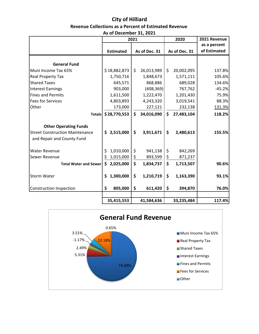# **City of Hilliard Revenue Collections as a Percent of Estimated Revenue**

|  | As of December 31, 2021 |  |  |
|--|-------------------------|--|--|
|--|-------------------------|--|--|

|                                        | 2021 |                  | 2020               |               | 2021 Revenue |               |              |
|----------------------------------------|------|------------------|--------------------|---------------|--------------|---------------|--------------|
|                                        |      |                  |                    |               |              |               | as a percent |
|                                        |      | <b>Estimated</b> |                    | As of Dec. 31 |              | As of Dec. 31 | of Estimated |
|                                        |      |                  |                    |               |              |               |              |
| <b>General Fund</b>                    |      |                  |                    |               |              |               |              |
| Muni Income Tax 65%                    |      | \$18,882,873     | \$                 | 26,013,989    | \$           | 20,002,095    | 137.8%       |
| <b>Real Property Tax</b>               |      | 1,750,716        |                    | 1,848,673     |              | 1,571,111     | 105.6%       |
| <b>Shared Taxes</b>                    |      | 645,571          |                    | 868,886       |              | 689,028       | 134.6%       |
| <b>Interest Earnings</b>               |      | 903,000          |                    | (408, 369)    |              | 767,762       | $-45.2%$     |
| <b>Fines and Permits</b>               |      | 1,611,500        |                    | 1,222,470     |              | 1,201,430     | 75.9%        |
| <b>Fees for Services</b>               |      | 4,803,893        |                    | 4,243,320     |              | 3,019,541     | 88.3%        |
| Other                                  |      | 173,000          |                    | 227,121       |              | 232,138       | 131.3%       |
| <b>Totals</b>                          |      | \$28,770,553     | \$                 | 34,016,090    | \$           | 27,483,104    | 118.2%       |
| <b>Other Operating Funds</b>           |      |                  |                    |               |              |               |              |
| <b>Street Construction Maintenance</b> | \$   | 2,515,000        | \$                 | 3,911,671     | \$           | 2,480,613     | 155.5%       |
| and Repair and County Fund             |      |                  |                    |               |              |               |              |
| <b>Water Revenue</b>                   | \$   | 1,010,000        | \$                 | 941,138       | \$           | 842,269       |              |
| Sewer Revenue                          | \$   | 1,015,000        | \$                 | 893,599       | \$           | 871,237       |              |
| <b>Total Water and Sewer</b>           | \$   | 2,025,000        | $\mathsf{\hat{S}}$ | 1,834,737     | \$           | 1,713,507     | 90.6%        |
| <b>Storm Water</b>                     | \$   | 1,300,000        | \$                 | 1,210,719     | \$           | 1,163,390     | 93.1%        |
| <b>Construction Inspection</b>         | \$   | 805,000          | \$                 | 611,420       | \$           | 394,870       | 76.0%        |
|                                        |      | 35,415,553       |                    | 41,584,636    |              | 33,235,484    | 117.4%       |

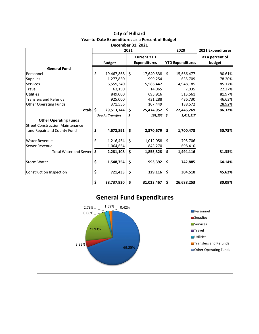| <b>City of Hilliard</b>                                 |
|---------------------------------------------------------|
| <b>Year-to-Date Expenditures as a Percent of Budget</b> |

| December 31, 2021                      |                                 |                          |    |                     |                                 |                         |                   |  |  |
|----------------------------------------|---------------------------------|--------------------------|----|---------------------|---------------------------------|-------------------------|-------------------|--|--|
|                                        | 2021                            |                          |    |                     |                                 | 2020                    | 2021 Expenditures |  |  |
|                                        |                                 |                          |    | <b>Current YTD</b>  |                                 |                         | as a percent of   |  |  |
|                                        |                                 | <b>Budget</b>            |    | <b>Expenditures</b> |                                 | <b>YTD Expenditures</b> | budget            |  |  |
| <b>General Fund</b>                    |                                 |                          |    |                     |                                 |                         |                   |  |  |
| Personnel                              | \$                              | 19,467,868               | \$ | 17,640,538          | \$                              | 15,666,477              | 90.61%            |  |  |
| <b>Supplies</b>                        |                                 | 1,277,830                |    | 999,254             |                                 | 635,709                 | 78.20%            |  |  |
| <b>Services</b>                        |                                 | 6,559,340                |    | 5,586,442           |                                 | 4,948,185               | 85.17%            |  |  |
| Travel                                 |                                 | 63,150                   |    | 14,065              |                                 | 7,035                   | 22.27%            |  |  |
| <b>Utilities</b>                       |                                 | 849,000                  |    | 695,916             |                                 | 513,561                 | 81.97%            |  |  |
| <b>Transfers and Refunds</b>           |                                 | 925,000                  |    | 431,288             |                                 | 486,730                 | 46.63%            |  |  |
| <b>Other Operating Funds</b>           |                                 | 371,556                  |    | 107,449             |                                 | 188,572                 | 28.92%            |  |  |
| <b>Totals</b>                          | \$                              | 29,513,744               | \$ | 25,474,952          | \$                              | 22,446,269              | 86.32%            |  |  |
|                                        |                                 | <b>Special Transfers</b> | \$ | 161,256             | \$.                             | 2,412,117               |                   |  |  |
| <b>Other Operating Funds</b>           |                                 |                          |    |                     |                                 |                         |                   |  |  |
| <b>Street Construction Maintenance</b> |                                 |                          |    |                     |                                 |                         |                   |  |  |
| and Repair and County Fund             | \$                              | 4,672,891                | \$ | 2,370,679           | \$                              | 1,700,473               | 50.73%            |  |  |
| <b>Water Revenue</b>                   | \$                              | 1,216,454                | \$ | 1,012,058           | \$                              | 795,706                 |                   |  |  |
| Sewer Revenue                          |                                 | 1,064,654                |    | 843,270             |                                 | 698,410                 |                   |  |  |
| <b>Total Water and Sewer</b>           | $\dot{\mathsf{s}}$              | 2,281,108                | \$ | 1,855,328           | \$                              | 1,494,116               | 81.33%            |  |  |
| <b>Storm Water</b>                     | \$                              | 1,548,754                | \$ | 993,392             | \$                              | 742,885                 | 64.14%            |  |  |
| Construction Inspection                | \$<br>721,433                   |                          | \$ | 329,116             | \$                              | 304,510                 | 45.62%            |  |  |
|                                        |                                 |                          |    |                     |                                 |                         |                   |  |  |
|                                        | $\overline{\boldsymbol{\zeta}}$ | 38,737,930               | \$ | 31,023,467          | $\overline{\boldsymbol{\zeta}}$ | 26,688,253              | 80.09%            |  |  |

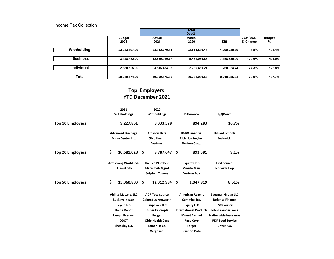#### Income Tax Collection

|                   |                       |                | <b>Total</b><br><b>Dec-21</b> |              |                       |                    |
|-------------------|-----------------------|----------------|-------------------------------|--------------|-----------------------|--------------------|
|                   | <b>Budget</b><br>2021 | Actual<br>2021 | Actual<br>2020                | <b>Diff</b>  | 2021/2020<br>% Change | <b>Budget</b><br>% |
| Withholding       | 23,033,597.00         | 23,812,770.14  | 22,513,539.45                 | 1,299,230.69 | 5.8%                  | 103.4%             |
| <b>Business</b>   | 3,128,452.00          | 12,639,920.77  | 5,481,089.87                  | 7,158,830.90 | 130.6%                | 404.0%             |
| <b>Individual</b> | 2,888,525.00          | 3,546,484.95   | 2,786,460.21                  | 760,024.74   | 27.3%                 | 122.8%             |
| <b>Total</b>      | 29,050,574.00         | 39,999,175.86  | 30,781,089.53                 | 9,218,086.33 | 29.9%                 | 137.7%             |

## **Top Employers YTD December 2021**

| 2021<br>Withholdings<br>9,227,861                                                                                                                | 2020<br>Withholdings<br>8,333,578                                                                                                                                      | <b>Difference</b><br>894,283                                                                                                                   | Up/(Down)<br>10.7%                                                                                                                                                   |  |
|--------------------------------------------------------------------------------------------------------------------------------------------------|------------------------------------------------------------------------------------------------------------------------------------------------------------------------|------------------------------------------------------------------------------------------------------------------------------------------------|----------------------------------------------------------------------------------------------------------------------------------------------------------------------|--|
| <b>Advanced Drainage</b><br><b>Micro Center Inc.</b>                                                                                             | <b>Amazon Data</b><br><b>Ohio Health</b><br>Verizon                                                                                                                    | <b>BMW Financial</b><br>Rich Holding Inc.<br>Verizon Corp.                                                                                     | <b>Hilliard Schools</b><br>Sedgwick                                                                                                                                  |  |
| \$<br>10,681,028                                                                                                                                 | \$                                                                                                                                                                     | 893,381                                                                                                                                        | 9.1%                                                                                                                                                                 |  |
| Armstrong World Ind.<br><b>Hilliard City</b>                                                                                                     | <b>The Eco Plumbers</b><br><b>Macintosh Mgmt</b><br><b>Sutphen Towers</b>                                                                                              | Equifax Inc.<br><b>Minute Man</b><br><b>Verizon Bus</b>                                                                                        | <b>First Source</b><br><b>Norwich Twp</b>                                                                                                                            |  |
| \$<br>13,360,803                                                                                                                                 | \$                                                                                                                                                                     | -S<br>1,047,819                                                                                                                                | 8.51%                                                                                                                                                                |  |
| <b>Ability Matters, LLC</b><br><b>Buckeye Nissan</b><br>Ecycle Inc.<br><b>Home Depot</b><br>Joseph Ryerson<br><b>ODOT</b><br><b>Sheakley LLC</b> | <b>ADP Totalsource</b><br><b>Columbus Kenworth</b><br><b>Empower LLC</b><br><b>Insperity People</b><br><b>Kroger</b><br><b>Ohio Health Corp</b><br><b>Tamarkin Co.</b> | <b>American Regent</b><br><b>Cummins Inc.</b><br><b>Equity LLC</b><br><b>Mount Carmel</b><br><b>Rage Corp</b><br>Target<br><b>Verizon Data</b> | <b>Baesman Group LLC</b><br><b>Defense Finance</b><br><b>ESC Council</b><br>John Eramo & Sons<br><b>Nationwide Insurance</b><br><b>RDP Food Service</b><br>Unwin Co. |  |
|                                                                                                                                                  |                                                                                                                                                                        | Vargo inc.                                                                                                                                     | 9,787,647 \$<br>12,312,984<br><b>International Products</b>                                                                                                          |  |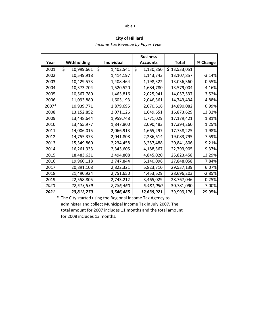#### Table 1

#### **City of Hilliard**

*Income Tax Revenue by Payer Type*

|       |                  |                 | <b>Business</b> |              |          |
|-------|------------------|-----------------|-----------------|--------------|----------|
| Year  | Withholding      | Individual      | <b>Accounts</b> | Total        | % Change |
| 2001  | \$<br>10,999,661 | \$<br>1,402,541 | \$<br>1,130,850 | \$13,533,051 |          |
| 2002  | 10,549,918       | 1,414,197       | 1,143,743       | 13,107,857   | $-3.14%$ |
| 2003  | 10,429,573       | 1,408,464       | 1,198,322       | 13,036,360   | $-0.55%$ |
| 2004  | 10,373,704       | 1,520,520       | 1,684,780       | 13,579,004   | 4.16%    |
| 2005  | 10,567,780       | 1,463,816       | 2,025,941       | 14,057,537   | 3.52%    |
| 2006  | 11,093,880       | 1,603,193       | 2,046,361       | 14,743,434   | 4.88%    |
| 2007* | 10,939,771       | 1,879,695       | 2,070,616       | 14,890,082   | 0.99%    |
| 2008  | 13,152,852       | 2,071,126       | 1,649,651       | 16,873,629   | 13.32%   |
| 2009  | 13,448,644       | 1,959,748       | 1,771,029       | 17,179,421   | 1.81%    |
| 2010  | 13,455,977       | 1,847,800       | 2,090,483       | 17,394,260   | 1.25%    |
| 2011  | 14,006,015       | 2,066,913       | 1,665,297       | 17,738,225   | 1.98%    |
| 2012  | 14,755,373       | 2,041,808       | 2,286,614       | 19,083,795   | 7.59%    |
| 2013  | 15,349,860       | 2,234,458       | 3,257,488       | 20,841,806   | 9.21%    |
| 2014  | 16,261,933       | 2,343,605       | 4,188,367       | 22,793,905   | 9.37%    |
| 2015  | 18,483,631       | 2,494,808       | 4,845,020       | 25,823,458   | 13.29%   |
| 2016  | 19,960,118       | 2,747,844       | 5,140,096       | 27,848,058   | 7.84%    |
| 2017  | 20,891,108       | 2,822,321       | 5,823,710       | 29,537,139   | 6.07%    |
| 2018  | 21,490,924       | 2,751,650       | 4,453,629       | 28,696,203   | $-2.85%$ |
| 2019  | 22,558,805       | 2,743,212       | 3,465,029       | 28,767,046   | 0.25%    |
| 2020  | 22,513,539       | 2,786,460       | 5,481,090       | 30,781,090   | 7.00%    |
| 2021  | 23,812,770       | 3,546,485       | 12,639,921      | 39,999,176   | 29.95%   |

\* The City started using the Regional Income Tax Agency to administer and collect Municipal Income Tax in July 2007. The total amount for 2007 includes 11 months and the total amount for 2008 includes 13 months.